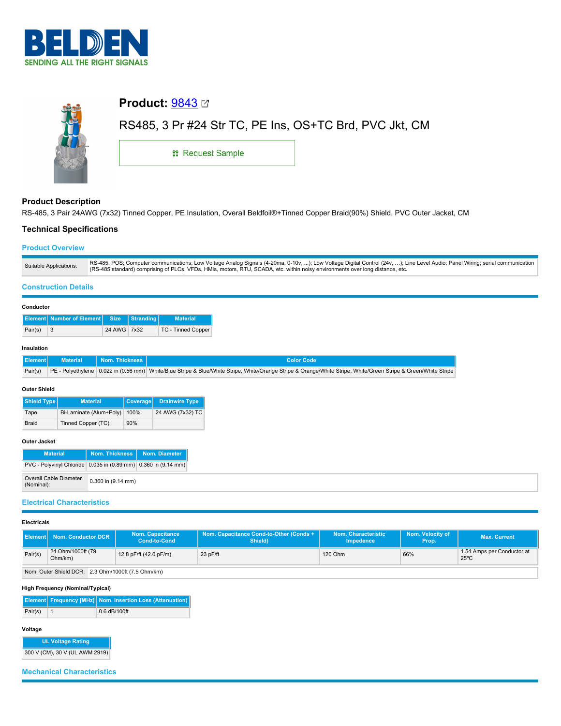



# **Product Description**

RS-485, 3 Pair 24AWG (7x32) Tinned Copper, PE Insulation, Overall Beldfoil®+Tinned Copper Braid(90%) Shield, PVC Outer Jacket, CM

## **Technical Specifications**

## **Product Overview**

| Suitable Applications: | RS-485, POS; Computer communications; Low Voltage Analog Signals (4-20ma, 0-10v, ); Low Voltage Digital Control (24v, ); Line Level Audio; Panel Wiring; serial communication<br>(RS-485 standard) comprising of PLCs, VFDs, HMIs, motors, RTU, SCADA, etc. within noisy environments over long distance, etc. |
|------------------------|----------------------------------------------------------------------------------------------------------------------------------------------------------------------------------------------------------------------------------------------------------------------------------------------------------------|

## **Construction Details**

#### **Conductor**

|         | Element Number of Element Size Stranding |             | <b>Material</b>           |
|---------|------------------------------------------|-------------|---------------------------|
| Pair(s) | $\mathbf{R}$                             | 24 AWG 7x32 | <b>TC - Tinned Copper</b> |

#### **Insulation**

|  | Element Material Nom. Thickness | LColor Code                                                                                                                                                            |
|--|---------------------------------|------------------------------------------------------------------------------------------------------------------------------------------------------------------------|
|  |                                 | Pair(s) PE - Polyethylene 0.022 in (0.56 mm) White/Blue Stripe & Blue/White Stripe, White/Orange Stripe & Orange/White Stripe, White/Green Stripe & Green/White Stripe |

### **Outer Shield**

| Shield Type  | <b>Material</b>         | <b>Coverage</b> | <b>Drainwire Type</b> |
|--------------|-------------------------|-----------------|-----------------------|
| Tape         | Bi-Laminate (Alum+Poly) | 100%            | 24 AWG (7x32) TC      |
| <b>Braid</b> | Tinned Copper (TC)      | 90%             |                       |

#### **Outer Jacket**

| <b>Material</b>                                                | Nom. Thickness         | Nom. Diameter |  |
|----------------------------------------------------------------|------------------------|---------------|--|
| PVC - Polyvinyl Chloride 0.035 in (0.89 mm) 0.360 in (9.14 mm) |                        |               |  |
| <b>Overall Cable Diameter</b><br>(Nominal):                    | $0.360$ in $(9.14$ mm) |               |  |

### **Electrical Characteristics**

#### **Electricals**

| <b>Element   Nom. Conductor DCR  </b> |                                                    | <b>Nom. Capacitance</b><br><b>Cond-to-Cond</b> | Nom. Capacitance Cond-to-Other (Conds +<br>Shield) | Nom. Characteristic<br>Impedence | Nom. Velocity of<br>Prop. | <b>Max. Current</b>                          |  |
|---------------------------------------|----------------------------------------------------|------------------------------------------------|----------------------------------------------------|----------------------------------|---------------------------|----------------------------------------------|--|
| Pair(s)                               | 24 Ohm/1000ft (79<br>Ohm/km)                       | 12.8 pF/ft (42.0 pF/m)                         | $23$ pF/ft                                         | 120 Ohm                          | 66%                       | 1.54 Amps per Conductor at<br>$25^{\circ}$ C |  |
|                                       | Nom. Outer Shield DCR: 2.3 Ohm/1000ft (7.5 Ohm/km) |                                                |                                                    |                                  |                           |                                              |  |

#### **High Frequency (Nominal/Typical)**

|         | Element   Frequency [MHz]   Nom. Insertion Loss (Attenuation) |
|---------|---------------------------------------------------------------|
| Pair(s) | $0.6$ dB/100ft                                                |

# **Voltage**

| <b>UL Voltage Rating</b>       |
|--------------------------------|
| 300 V (CM), 30 V (UL AWM 2919) |

# **Mechanical Characteristics**